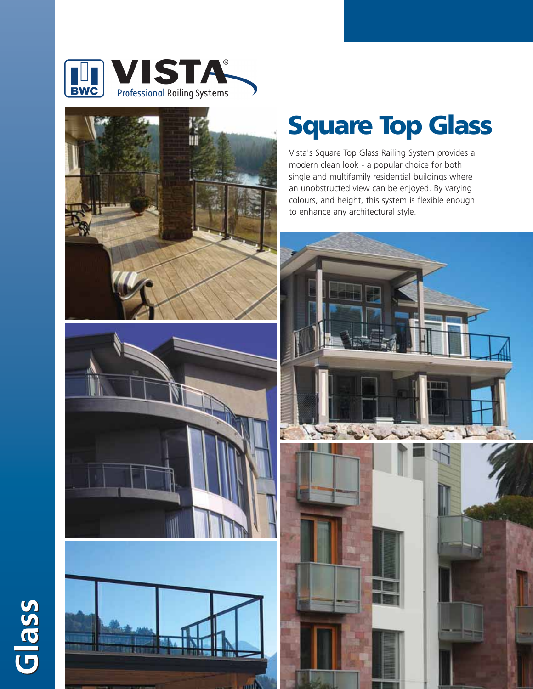





**Glass**

## **Square Top Glass**

Vista's Square Top Glass Railing System provides a modern clean look - a popular choice for both single and multifamily residential buildings where an unobstructed view can be enjoyed. By varying colours, and height, this system is flexible enough to enhance any architectural style.